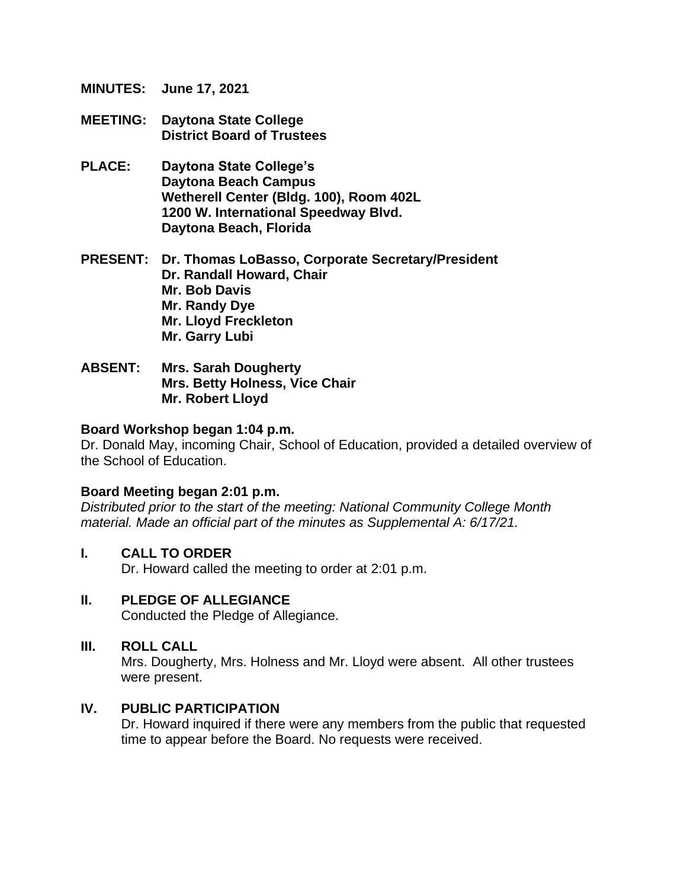**MINUTES: June 17, 2021**

- **MEETING: Daytona State College District Board of Trustees**
- **PLACE: Daytona State College's Daytona Beach Campus Wetherell Center (Bldg. 100), Room 402L 1200 W. International Speedway Blvd. Daytona Beach, Florida**
- **PRESENT: Dr. Thomas LoBasso, Corporate Secretary/President Dr. Randall Howard, Chair Mr. Bob Davis Mr. Randy Dye Mr. Lloyd Freckleton Mr. Garry Lubi**
- **ABSENT: Mrs. Sarah Dougherty Mrs. Betty Holness, Vice Chair Mr. Robert Lloyd**

#### **Board Workshop began 1:04 p.m.**

Dr. Donald May, incoming Chair, School of Education, provided a detailed overview of the School of Education.

#### **Board Meeting began 2:01 p.m.**

*Distributed prior to the start of the meeting: National Community College Month material. Made an official part of the minutes as Supplemental A: 6/17/21.*

#### **I. CALL TO ORDER**

Dr. Howard called the meeting to order at 2:01 p.m.

## **II. PLEDGE OF ALLEGIANCE**

Conducted the Pledge of Allegiance.

#### **III. ROLL CALL**

Mrs. Dougherty, Mrs. Holness and Mr. Lloyd were absent. All other trustees were present.

#### **IV. PUBLIC PARTICIPATION**

Dr. Howard inquired if there were any members from the public that requested time to appear before the Board. No requests were received.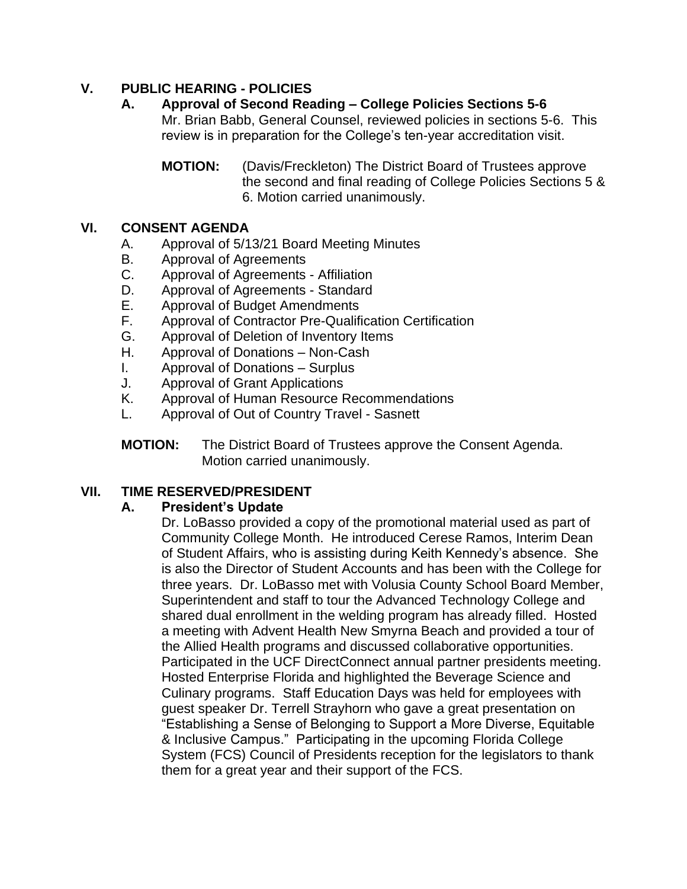# **V. PUBLIC HEARING - POLICIES**

**A. Approval of Second Reading – College Policies Sections 5-6** Mr. Brian Babb, General Counsel, reviewed policies in sections 5-6. This review is in preparation for the College's ten-year accreditation visit.

**MOTION:** (Davis/Freckleton) The District Board of Trustees approve the second and final reading of College Policies Sections 5 & 6. Motion carried unanimously.

#### **VI. CONSENT AGENDA**

- A. Approval of 5/13/21 Board Meeting Minutes
- B. Approval of Agreements
- C. Approval of Agreements Affiliation
- D. Approval of Agreements Standard
- E. Approval of Budget Amendments
- F. Approval of Contractor Pre-Qualification Certification
- G. Approval of Deletion of Inventory Items
- H. Approval of Donations Non-Cash
- I. Approval of Donations Surplus
- J. Approval of Grant Applications
- K. Approval of Human Resource Recommendations
- L. Approval of Out of Country Travel Sasnett
- **MOTION:** The District Board of Trustees approve the Consent Agenda. Motion carried unanimously.

## **VII. TIME RESERVED/PRESIDENT**

#### **A. President's Update**

Dr. LoBasso provided a copy of the promotional material used as part of Community College Month. He introduced Cerese Ramos, Interim Dean of Student Affairs, who is assisting during Keith Kennedy's absence. She is also the Director of Student Accounts and has been with the College for three years. Dr. LoBasso met with Volusia County School Board Member, Superintendent and staff to tour the Advanced Technology College and shared dual enrollment in the welding program has already filled. Hosted a meeting with Advent Health New Smyrna Beach and provided a tour of the Allied Health programs and discussed collaborative opportunities. Participated in the UCF DirectConnect annual partner presidents meeting. Hosted Enterprise Florida and highlighted the Beverage Science and Culinary programs. Staff Education Days was held for employees with guest speaker Dr. Terrell Strayhorn who gave a great presentation on "Establishing a Sense of Belonging to Support a More Diverse, Equitable & Inclusive Campus." Participating in the upcoming Florida College System (FCS) Council of Presidents reception for the legislators to thank them for a great year and their support of the FCS.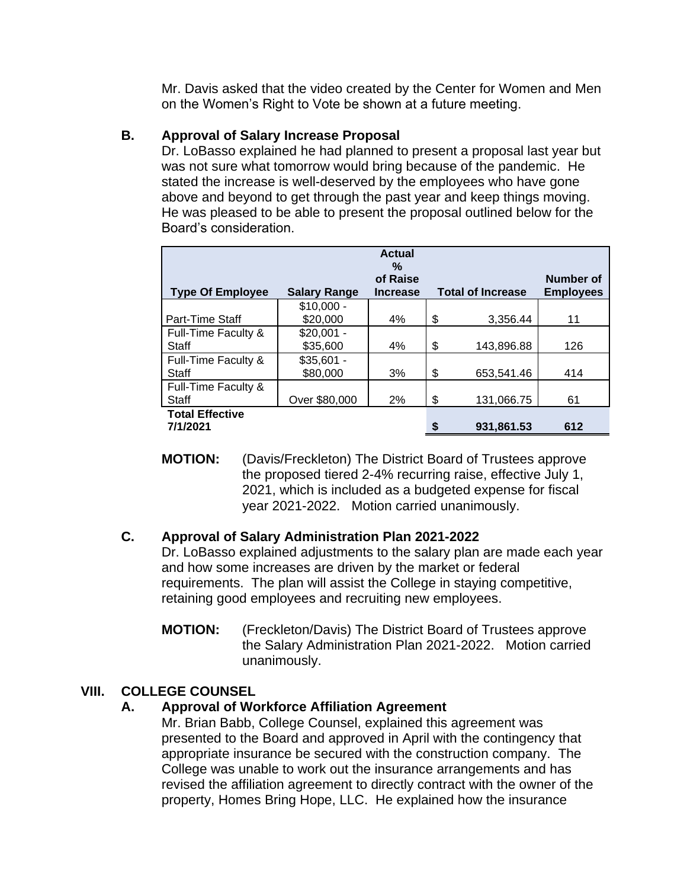Mr. Davis asked that the video created by the Center for Women and Men on the Women's Right to Vote be shown at a future meeting.

## **B. Approval of Salary Increase Proposal**

Dr. LoBasso explained he had planned to present a proposal last year but was not sure what tomorrow would bring because of the pandemic. He stated the increase is well-deserved by the employees who have gone above and beyond to get through the past year and keep things moving. He was pleased to be able to present the proposal outlined below for the Board's consideration.

|                         |                     | <b>Actual</b><br>%<br>of Raise |                          | Number of        |
|-------------------------|---------------------|--------------------------------|--------------------------|------------------|
| <b>Type Of Employee</b> | <b>Salary Range</b> | <b>Increase</b>                | <b>Total of Increase</b> | <b>Employees</b> |
|                         | $$10,000 -$         |                                |                          |                  |
| Part-Time Staff         | \$20,000            | 4%                             | \$<br>3,356.44           | 11               |
| Full-Time Faculty &     | $$20,001 -$         |                                |                          |                  |
| Staff                   | \$35,600            | 4%                             | \$<br>143,896.88         | 126              |
| Full-Time Faculty &     | $$35,601 -$         |                                |                          |                  |
| Staff                   | \$80,000            | 3%                             | \$<br>653,541.46         | 414              |
| Full-Time Faculty &     |                     |                                |                          |                  |
| Staff                   | Over \$80,000       | 2%                             | \$<br>131,066.75         | 61               |
| <b>Total Effective</b>  |                     |                                |                          |                  |
| 7/1/2021                |                     |                                | 931,861.53               | 612              |

**MOTION:** (Davis/Freckleton) The District Board of Trustees approve the proposed tiered 2-4% recurring raise, effective July 1, 2021, which is included as a budgeted expense for fiscal year 2021-2022. Motion carried unanimously.

## **C. Approval of Salary Administration Plan 2021-2022**

Dr. LoBasso explained adjustments to the salary plan are made each year and how some increases are driven by the market or federal requirements. The plan will assist the College in staying competitive, retaining good employees and recruiting new employees.

**MOTION:** (Freckleton/Davis) The District Board of Trustees approve the Salary Administration Plan 2021-2022. Motion carried unanimously.

# **VIII. COLLEGE COUNSEL**

# **A. Approval of Workforce Affiliation Agreement**

Mr. Brian Babb, College Counsel, explained this agreement was presented to the Board and approved in April with the contingency that appropriate insurance be secured with the construction company. The College was unable to work out the insurance arrangements and has revised the affiliation agreement to directly contract with the owner of the property, Homes Bring Hope, LLC. He explained how the insurance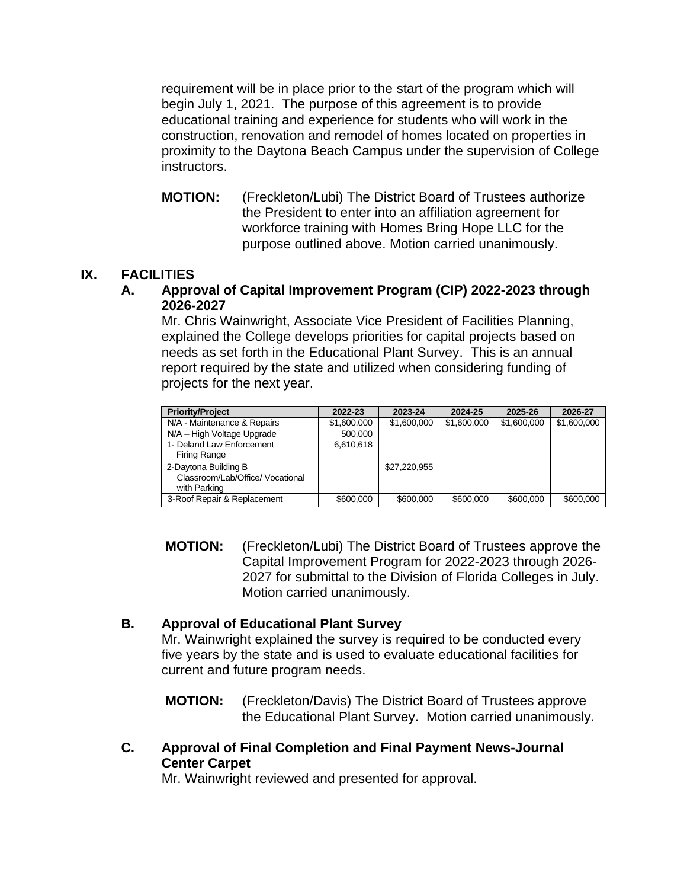requirement will be in place prior to the start of the program which will begin July 1, 2021. The purpose of this agreement is to provide educational training and experience for students who will work in the construction, renovation and remodel of homes located on properties in proximity to the Daytona Beach Campus under the supervision of College instructors.

**MOTION:** (Freckleton/Lubi) The District Board of Trustees authorize the President to enter into an affiliation agreement for workforce training with Homes Bring Hope LLC for the purpose outlined above. Motion carried unanimously.

## **IX. FACILITIES**

#### **A. Approval of Capital Improvement Program (CIP) 2022-2023 through 2026-2027**

Mr. Chris Wainwright, Associate Vice President of Facilities Planning, explained the College develops priorities for capital projects based on needs as set forth in the Educational Plant Survey. This is an annual report required by the state and utilized when considering funding of projects for the next year.

| <b>Priority/Project</b>                                                  | 2022-23     | 2023-24      | 2024-25     | 2025-26     | 2026-27     |
|--------------------------------------------------------------------------|-------------|--------------|-------------|-------------|-------------|
| N/A - Maintenance & Repairs                                              | \$1,600,000 | \$1,600,000  | \$1,600,000 | \$1,600,000 | \$1,600,000 |
| N/A - High Voltage Upgrade                                               | 500,000     |              |             |             |             |
| 1- Deland Law Enforcement<br>Firing Range                                | 6,610,618   |              |             |             |             |
| 2-Daytona Building B<br>Classroom/Lab/Office/ Vocational<br>with Parking |             | \$27,220,955 |             |             |             |
| 3-Roof Repair & Replacement                                              | \$600,000   | \$600,000    | \$600,000   | \$600,000   | \$600,000   |

**MOTION:** (Freckleton/Lubi) The District Board of Trustees approve the Capital Improvement Program for 2022-2023 through 2026- 2027 for submittal to the Division of Florida Colleges in July. Motion carried unanimously.

## **B. Approval of Educational Plant Survey**

Mr. Wainwright explained the survey is required to be conducted every five years by the state and is used to evaluate educational facilities for current and future program needs.

**MOTION:** (Freckleton/Davis) The District Board of Trustees approve the Educational Plant Survey. Motion carried unanimously.

**C. Approval of Final Completion and Final Payment News-Journal Center Carpet**

Mr. Wainwright reviewed and presented for approval.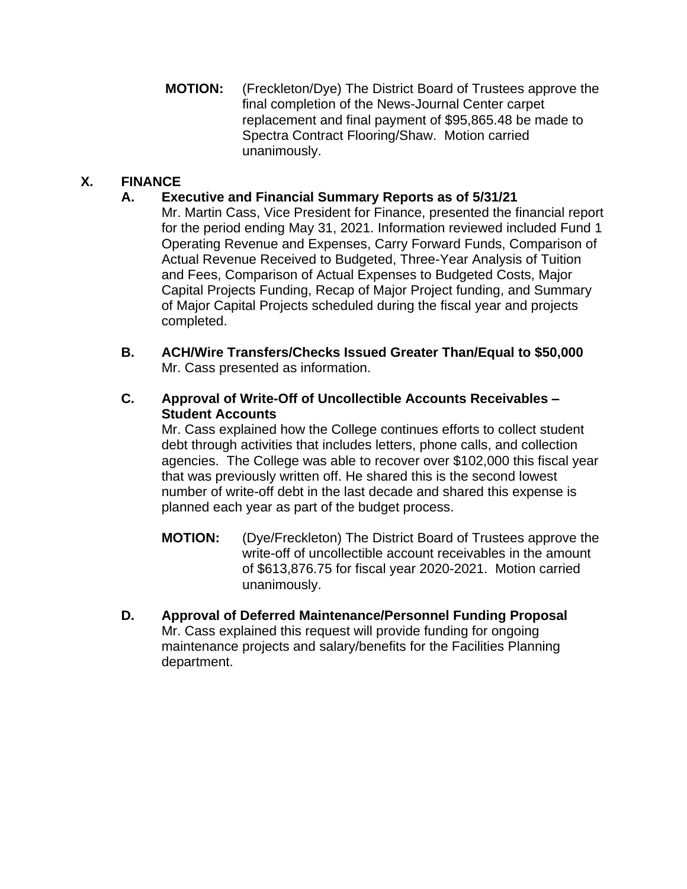**MOTION:** (Freckleton/Dye) The District Board of Trustees approve the final completion of the News-Journal Center carpet replacement and final payment of \$95,865.48 be made to Spectra Contract Flooring/Shaw. Motion carried unanimously.

# **X. FINANCE**

## **A. Executive and Financial Summary Reports as of 5/31/21**

Mr. Martin Cass, Vice President for Finance, presented the financial report for the period ending May 31, 2021. Information reviewed included Fund 1 Operating Revenue and Expenses, Carry Forward Funds, Comparison of Actual Revenue Received to Budgeted, Three-Year Analysis of Tuition and Fees, Comparison of Actual Expenses to Budgeted Costs, Major Capital Projects Funding, Recap of Major Project funding, and Summary of Major Capital Projects scheduled during the fiscal year and projects completed.

**B. ACH/Wire Transfers/Checks Issued Greater Than/Equal to \$50,000**  Mr. Cass presented as information.

#### **C. Approval of Write-Off of Uncollectible Accounts Receivables – Student Accounts**

Mr. Cass explained how the College continues efforts to collect student debt through activities that includes letters, phone calls, and collection agencies. The College was able to recover over \$102,000 this fiscal year that was previously written off. He shared this is the second lowest number of write-off debt in the last decade and shared this expense is planned each year as part of the budget process.

- **MOTION:** (Dye/Freckleton) The District Board of Trustees approve the write-off of uncollectible account receivables in the amount of \$613,876.75 for fiscal year 2020-2021. Motion carried unanimously.
- **D. Approval of Deferred Maintenance/Personnel Funding Proposal** Mr. Cass explained this request will provide funding for ongoing maintenance projects and salary/benefits for the Facilities Planning department.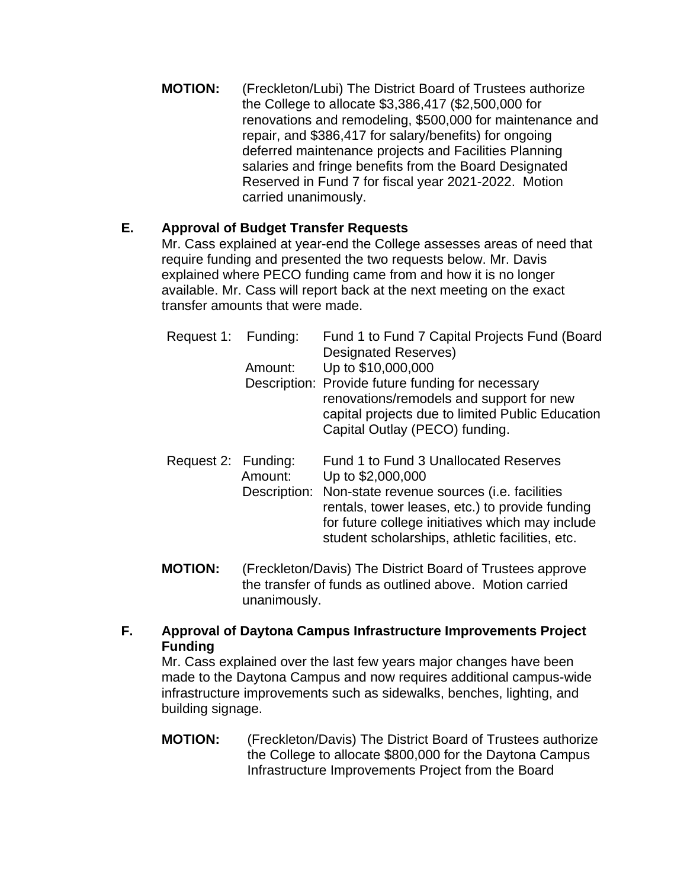**MOTION:** (Freckleton/Lubi) The District Board of Trustees authorize the College to allocate \$3,386,417 (\$2,500,000 for renovations and remodeling, \$500,000 for maintenance and repair, and \$386,417 for salary/benefits) for ongoing deferred maintenance projects and Facilities Planning salaries and fringe benefits from the Board Designated Reserved in Fund 7 for fiscal year 2021-2022. Motion carried unanimously.

## **E. Approval of Budget Transfer Requests**

Mr. Cass explained at year-end the College assesses areas of need that require funding and presented the two requests below. Mr. Davis explained where PECO funding came from and how it is no longer available. Mr. Cass will report back at the next meeting on the exact transfer amounts that were made.

| Request 1: Funding: | Amount:                 | Fund 1 to Fund 7 Capital Projects Fund (Board<br><b>Designated Reserves)</b><br>Up to \$10,000,000<br>Description: Provide future funding for necessary<br>renovations/remodels and support for new<br>capital projects due to limited Public Education<br>Capital Outlay (PECO) funding. |
|---------------------|-------------------------|-------------------------------------------------------------------------------------------------------------------------------------------------------------------------------------------------------------------------------------------------------------------------------------------|
| Request 2: Funding: | Amount:<br>Description: | Fund 1 to Fund 3 Unallocated Reserves<br>Up to \$2,000,000<br>Non-state revenue sources ( <i>i.e.</i> facilities<br>rentals, tower leases, etc.) to provide funding<br>for future college initiatives which may include<br>student scholarships, athletic facilities, etc.                |

- **MOTION:** (Freckleton/Davis) The District Board of Trustees approve the transfer of funds as outlined above. Motion carried unanimously.
- **F. Approval of Daytona Campus Infrastructure Improvements Project Funding**

Mr. Cass explained over the last few years major changes have been made to the Daytona Campus and now requires additional campus-wide infrastructure improvements such as sidewalks, benches, lighting, and building signage.

**MOTION:** (Freckleton/Davis) The District Board of Trustees authorize the College to allocate \$800,000 for the Daytona Campus Infrastructure Improvements Project from the Board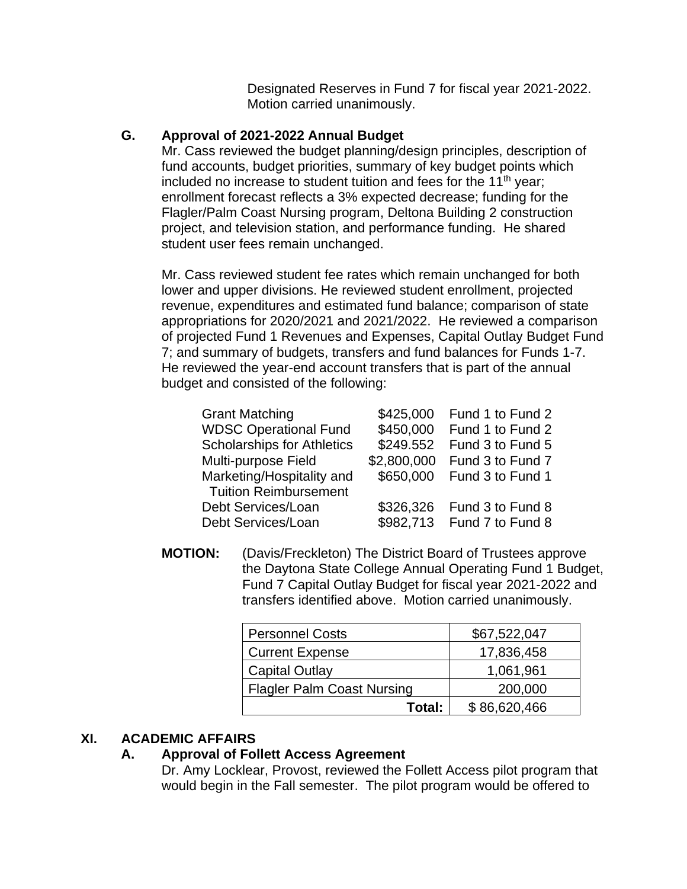Designated Reserves in Fund 7 for fiscal year 2021-2022. Motion carried unanimously.

#### **G. Approval of 2021-2022 Annual Budget**

Mr. Cass reviewed the budget planning/design principles, description of fund accounts, budget priorities, summary of key budget points which included no increase to student tuition and fees for the 11<sup>th</sup> year; enrollment forecast reflects a 3% expected decrease; funding for the Flagler/Palm Coast Nursing program, Deltona Building 2 construction project, and television station, and performance funding. He shared student user fees remain unchanged.

Mr. Cass reviewed student fee rates which remain unchanged for both lower and upper divisions. He reviewed student enrollment, projected revenue, expenditures and estimated fund balance; comparison of state appropriations for 2020/2021 and 2021/2022. He reviewed a comparison of projected Fund 1 Revenues and Expenses, Capital Outlay Budget Fund 7; and summary of budgets, transfers and fund balances for Funds 1-7. He reviewed the year-end account transfers that is part of the annual budget and consisted of the following:

| <b>Grant Matching</b>             |           | \$425,000 Fund 1 to Fund 2   |
|-----------------------------------|-----------|------------------------------|
| <b>WDSC Operational Fund</b>      | \$450,000 | Fund 1 to Fund 2             |
| <b>Scholarships for Athletics</b> | \$249.552 | Fund 3 to Fund 5             |
| Multi-purpose Field               |           | \$2,800,000 Fund 3 to Fund 7 |
| Marketing/Hospitality and         | \$650,000 | Fund 3 to Fund 1             |
| <b>Tuition Reimbursement</b>      |           |                              |
| Debt Services/Loan                |           | \$326,326 Fund 3 to Fund 8   |
| Debt Services/Loan                |           | \$982,713 Fund 7 to Fund 8   |

**MOTION:** (Davis/Freckleton) The District Board of Trustees approve the Daytona State College Annual Operating Fund 1 Budget, Fund 7 Capital Outlay Budget for fiscal year 2021-2022 and transfers identified above. Motion carried unanimously.

| <b>Personnel Costs</b>            | \$67,522,047 |
|-----------------------------------|--------------|
| <b>Current Expense</b>            | 17,836,458   |
| Capital Outlay                    | 1,061,961    |
| <b>Flagler Palm Coast Nursing</b> | 200,000      |
| Total:                            | \$86,620,466 |

#### **XI. ACADEMIC AFFAIRS**

#### **A. Approval of Follett Access Agreement**

Dr. Amy Locklear, Provost, reviewed the Follett Access pilot program that would begin in the Fall semester. The pilot program would be offered to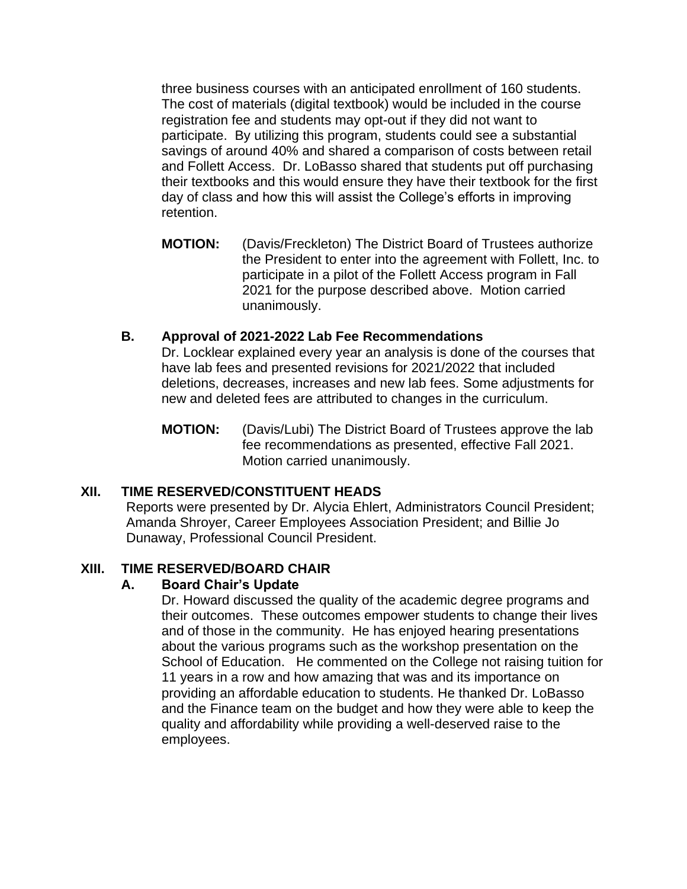three business courses with an anticipated enrollment of 160 students. The cost of materials (digital textbook) would be included in the course registration fee and students may opt-out if they did not want to participate. By utilizing this program, students could see a substantial savings of around 40% and shared a comparison of costs between retail and Follett Access. Dr. LoBasso shared that students put off purchasing their textbooks and this would ensure they have their textbook for the first day of class and how this will assist the College's efforts in improving retention.

**MOTION:** (Davis/Freckleton) The District Board of Trustees authorize the President to enter into the agreement with Follett, Inc. to participate in a pilot of the Follett Access program in Fall 2021 for the purpose described above. Motion carried unanimously.

## **B. Approval of 2021-2022 Lab Fee Recommendations**

Dr. Locklear explained every year an analysis is done of the courses that have lab fees and presented revisions for 2021/2022 that included deletions, decreases, increases and new lab fees. Some adjustments for new and deleted fees are attributed to changes in the curriculum.

**MOTION:** (Davis/Lubi) The District Board of Trustees approve the lab fee recommendations as presented, effective Fall 2021. Motion carried unanimously.

## **XII. TIME RESERVED/CONSTITUENT HEADS**

Reports were presented by Dr. Alycia Ehlert, Administrators Council President; Amanda Shroyer, Career Employees Association President; and Billie Jo Dunaway, Professional Council President.

## **XIII. TIME RESERVED/BOARD CHAIR**

## **A. Board Chair's Update**

Dr. Howard discussed the quality of the academic degree programs and their outcomes. These outcomes empower students to change their lives and of those in the community. He has enjoyed hearing presentations about the various programs such as the workshop presentation on the School of Education. He commented on the College not raising tuition for 11 years in a row and how amazing that was and its importance on providing an affordable education to students. He thanked Dr. LoBasso and the Finance team on the budget and how they were able to keep the quality and affordability while providing a well-deserved raise to the employees.